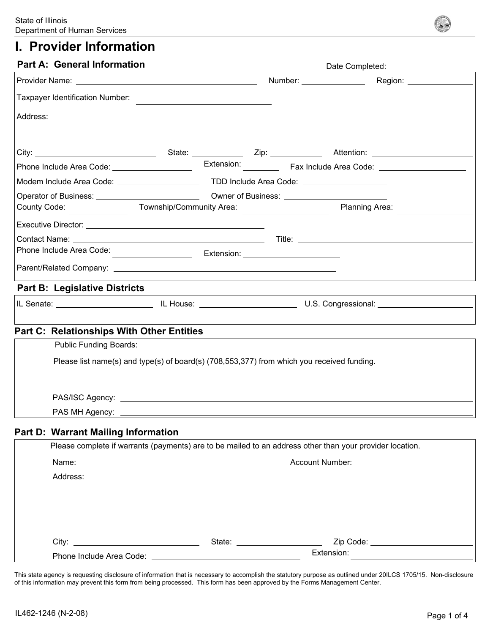## **I. Provider Information**

| <b>Part A: General Information</b>                                                | <u> 1989 - Johann Barn, amerikansk politiker (d. 1989)</u>                                               |  |                                                                                                                  |  |
|-----------------------------------------------------------------------------------|----------------------------------------------------------------------------------------------------------|--|------------------------------------------------------------------------------------------------------------------|--|
|                                                                                   |                                                                                                          |  |                                                                                                                  |  |
| Taxpayer Identification Number:                                                   | <u> 1989 - Andrea Andrew Maria (h. 1989).</u>                                                            |  |                                                                                                                  |  |
| Address:                                                                          |                                                                                                          |  |                                                                                                                  |  |
|                                                                                   |                                                                                                          |  |                                                                                                                  |  |
|                                                                                   |                                                                                                          |  |                                                                                                                  |  |
|                                                                                   |                                                                                                          |  |                                                                                                                  |  |
|                                                                                   |                                                                                                          |  |                                                                                                                  |  |
|                                                                                   |                                                                                                          |  |                                                                                                                  |  |
|                                                                                   |                                                                                                          |  | Planning Area:                                                                                                   |  |
|                                                                                   |                                                                                                          |  |                                                                                                                  |  |
|                                                                                   |                                                                                                          |  |                                                                                                                  |  |
|                                                                                   |                                                                                                          |  |                                                                                                                  |  |
|                                                                                   |                                                                                                          |  |                                                                                                                  |  |
| <b>Part B: Legislative Districts</b>                                              |                                                                                                          |  | ,我们也不会有什么。""我们的人,我们也不会有什么?""我们的人,我们也不会有什么?""我们的人,我们的人,我们的人,我们的人,我们的人,我们的人,我们的人,我们                                |  |
|                                                                                   |                                                                                                          |  |                                                                                                                  |  |
|                                                                                   |                                                                                                          |  |                                                                                                                  |  |
| <b>Part C: Relationships With Other Entities</b><br><b>Public Funding Boards:</b> |                                                                                                          |  | and the control of the control of the control of the control of the control of the control of the control of the |  |
|                                                                                   |                                                                                                          |  |                                                                                                                  |  |
|                                                                                   | Please list name(s) and type(s) of board(s) (708,553,377) from which you received funding.               |  |                                                                                                                  |  |
|                                                                                   |                                                                                                          |  |                                                                                                                  |  |
|                                                                                   |                                                                                                          |  |                                                                                                                  |  |
|                                                                                   |                                                                                                          |  |                                                                                                                  |  |
| <b>Part D: Warrant Mailing Information</b>                                        |                                                                                                          |  |                                                                                                                  |  |
|                                                                                   | Please complete if warrants (payments) are to be mailed to an address other than your provider location. |  |                                                                                                                  |  |
|                                                                                   |                                                                                                          |  |                                                                                                                  |  |
| Address:                                                                          |                                                                                                          |  |                                                                                                                  |  |
|                                                                                   |                                                                                                          |  |                                                                                                                  |  |
|                                                                                   |                                                                                                          |  |                                                                                                                  |  |
|                                                                                   |                                                                                                          |  |                                                                                                                  |  |
|                                                                                   |                                                                                                          |  |                                                                                                                  |  |
|                                                                                   |                                                                                                          |  | Extension:                                                                                                       |  |

This state agency is requesting disclosure of information that is necessary to accomplish the statutory purpose as outlined under 20ILCS 1705/15. Non-disclosure of this information may prevent this form from being processed. This form has been approved by the Forms Management Center.

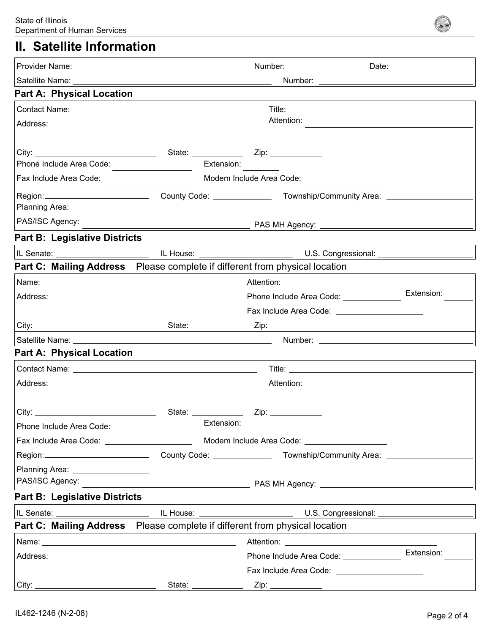## **II. Satellite Information**

| <b>Part A: Physical Location</b><br><u> 1989 - Johann Stoff, amerikansk politiker (* 1908)</u><br>Attention:<br>Address:<br>Phone Include Area Code:<br>Extension:<br>Fax Include Area Code: Modem Include Area Code: Modem Include Area Code:<br>Planning Area:<br><b>Part B: Legislative Districts</b><br>Part C: Mailing Address Please complete if different from physical location<br>Name: Name: Name: Name: Name: Name: Name: Name: Name: Name: Name: Name: Name: Name: Name: Name: Name: Name: Name: Name: Name: Name: Name: Name: Name: Name: Name: Name: Name: Name: Name: Name: Name: Name: Name: Name: Name:<br>Extension:<br>Phone Include Area Code: _____________<br>Address: |  | Number: __________________ |  |
|----------------------------------------------------------------------------------------------------------------------------------------------------------------------------------------------------------------------------------------------------------------------------------------------------------------------------------------------------------------------------------------------------------------------------------------------------------------------------------------------------------------------------------------------------------------------------------------------------------------------------------------------------------------------------------------------|--|----------------------------|--|
|                                                                                                                                                                                                                                                                                                                                                                                                                                                                                                                                                                                                                                                                                              |  |                            |  |
|                                                                                                                                                                                                                                                                                                                                                                                                                                                                                                                                                                                                                                                                                              |  |                            |  |
|                                                                                                                                                                                                                                                                                                                                                                                                                                                                                                                                                                                                                                                                                              |  |                            |  |
|                                                                                                                                                                                                                                                                                                                                                                                                                                                                                                                                                                                                                                                                                              |  |                            |  |
|                                                                                                                                                                                                                                                                                                                                                                                                                                                                                                                                                                                                                                                                                              |  |                            |  |
|                                                                                                                                                                                                                                                                                                                                                                                                                                                                                                                                                                                                                                                                                              |  |                            |  |
|                                                                                                                                                                                                                                                                                                                                                                                                                                                                                                                                                                                                                                                                                              |  |                            |  |
|                                                                                                                                                                                                                                                                                                                                                                                                                                                                                                                                                                                                                                                                                              |  |                            |  |
|                                                                                                                                                                                                                                                                                                                                                                                                                                                                                                                                                                                                                                                                                              |  |                            |  |
|                                                                                                                                                                                                                                                                                                                                                                                                                                                                                                                                                                                                                                                                                              |  |                            |  |
|                                                                                                                                                                                                                                                                                                                                                                                                                                                                                                                                                                                                                                                                                              |  |                            |  |
|                                                                                                                                                                                                                                                                                                                                                                                                                                                                                                                                                                                                                                                                                              |  |                            |  |
|                                                                                                                                                                                                                                                                                                                                                                                                                                                                                                                                                                                                                                                                                              |  |                            |  |
|                                                                                                                                                                                                                                                                                                                                                                                                                                                                                                                                                                                                                                                                                              |  |                            |  |
|                                                                                                                                                                                                                                                                                                                                                                                                                                                                                                                                                                                                                                                                                              |  |                            |  |
|                                                                                                                                                                                                                                                                                                                                                                                                                                                                                                                                                                                                                                                                                              |  |                            |  |
|                                                                                                                                                                                                                                                                                                                                                                                                                                                                                                                                                                                                                                                                                              |  |                            |  |
|                                                                                                                                                                                                                                                                                                                                                                                                                                                                                                                                                                                                                                                                                              |  |                            |  |
|                                                                                                                                                                                                                                                                                                                                                                                                                                                                                                                                                                                                                                                                                              |  |                            |  |
| <b>Part A: Physical Location</b><br><u> 1989 - Johann Stoff, amerikansk politiker (d. 1989)</u>                                                                                                                                                                                                                                                                                                                                                                                                                                                                                                                                                                                              |  |                            |  |
|                                                                                                                                                                                                                                                                                                                                                                                                                                                                                                                                                                                                                                                                                              |  |                            |  |
| Address:                                                                                                                                                                                                                                                                                                                                                                                                                                                                                                                                                                                                                                                                                     |  |                            |  |
|                                                                                                                                                                                                                                                                                                                                                                                                                                                                                                                                                                                                                                                                                              |  |                            |  |
| City:<br>State:<br>Zip:                                                                                                                                                                                                                                                                                                                                                                                                                                                                                                                                                                                                                                                                      |  |                            |  |
| Extension:<br>Phone Include Area Code: ____________________                                                                                                                                                                                                                                                                                                                                                                                                                                                                                                                                                                                                                                  |  |                            |  |
|                                                                                                                                                                                                                                                                                                                                                                                                                                                                                                                                                                                                                                                                                              |  |                            |  |
|                                                                                                                                                                                                                                                                                                                                                                                                                                                                                                                                                                                                                                                                                              |  |                            |  |
| Planning Area: __________________                                                                                                                                                                                                                                                                                                                                                                                                                                                                                                                                                                                                                                                            |  |                            |  |
|                                                                                                                                                                                                                                                                                                                                                                                                                                                                                                                                                                                                                                                                                              |  |                            |  |
| <b>Part B: Legislative Districts</b><br><u> 1980 - Johann Barn, mars ann an t-Amhain an t-Amhain an t-Amhain an t-Amhain an t-Amhain an t-Amhain an t-Amh</u>                                                                                                                                                                                                                                                                                                                                                                                                                                                                                                                                |  |                            |  |
|                                                                                                                                                                                                                                                                                                                                                                                                                                                                                                                                                                                                                                                                                              |  |                            |  |
| Part C: Mailing Address Please complete if different from physical location                                                                                                                                                                                                                                                                                                                                                                                                                                                                                                                                                                                                                  |  |                            |  |
|                                                                                                                                                                                                                                                                                                                                                                                                                                                                                                                                                                                                                                                                                              |  |                            |  |
| Extension:<br>Phone Include Area Code: _____________<br>Address:                                                                                                                                                                                                                                                                                                                                                                                                                                                                                                                                                                                                                             |  |                            |  |
| Fax Include Area Code: ________________________                                                                                                                                                                                                                                                                                                                                                                                                                                                                                                                                                                                                                                              |  |                            |  |
|                                                                                                                                                                                                                                                                                                                                                                                                                                                                                                                                                                                                                                                                                              |  |                            |  |

 $\left(\right)$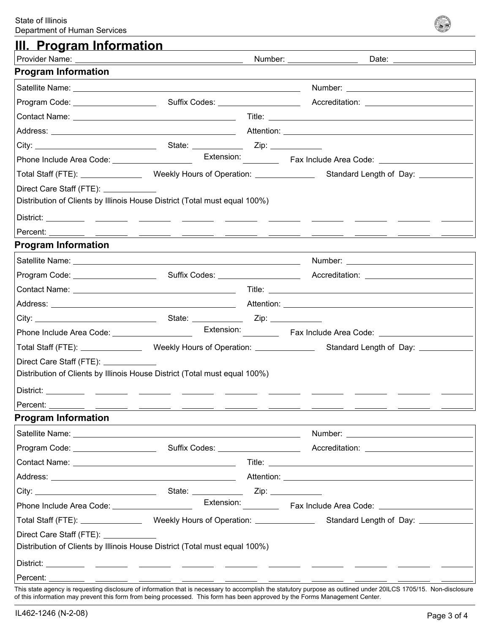|  |  | <u>III. Program Information</u> |  |  |  |
|--|--|---------------------------------|--|--|--|
|  |  |                                 |  |  |  |

| <b>Program Information</b>                     |                                                                            | <u> 1989 - Johann Stoff, amerikansk politiker (* 1908)</u>                                                                  |
|------------------------------------------------|----------------------------------------------------------------------------|-----------------------------------------------------------------------------------------------------------------------------|
|                                                |                                                                            |                                                                                                                             |
|                                                |                                                                            |                                                                                                                             |
|                                                |                                                                            |                                                                                                                             |
|                                                |                                                                            |                                                                                                                             |
|                                                |                                                                            |                                                                                                                             |
| Phone Include Area Code: _____________________ |                                                                            |                                                                                                                             |
|                                                |                                                                            | Total Staff (FTE): Weekly Hours of Operation: Standard Length of Day: Cannel Art Connect Meekly Hours of Operation:         |
| Direct Care Staff (FTE): ____________          |                                                                            |                                                                                                                             |
|                                                | Distribution of Clients by Illinois House District (Total must equal 100%) |                                                                                                                             |
|                                                |                                                                            |                                                                                                                             |
|                                                |                                                                            |                                                                                                                             |
| <b>Program Information</b>                     |                                                                            | ,我们也不能在这里的时候,我们也不能在这里的时候,我们也不能会在这里的时候,我们也不能会在这里的时候,我们也不能会在这里的时候,我们也不能会在这里的时候,我们也                                            |
|                                                |                                                                            |                                                                                                                             |
|                                                |                                                                            |                                                                                                                             |
|                                                |                                                                            |                                                                                                                             |
|                                                |                                                                            |                                                                                                                             |
|                                                |                                                                            |                                                                                                                             |
| Phone Include Area Code: _____________________ |                                                                            |                                                                                                                             |
|                                                |                                                                            | Total Staff (FTE): Weekly Hours of Operation: Standard Length of Day: Charles Mercury Control of Weekly Hours of Operation: |
| Direct Care Staff (FTE): <u>_____________</u>  |                                                                            |                                                                                                                             |
|                                                | Distribution of Clients by Illinois House District (Total must equal 100%) |                                                                                                                             |
|                                                |                                                                            |                                                                                                                             |
| Percent:                                       |                                                                            |                                                                                                                             |
| <b>Program Information</b>                     |                                                                            | <u> 1989 - Johann Stoff, amerikansk politiker (d. 1989)</u>                                                                 |
|                                                |                                                                            |                                                                                                                             |
|                                                |                                                                            |                                                                                                                             |
|                                                |                                                                            |                                                                                                                             |
|                                                |                                                                            |                                                                                                                             |
|                                                |                                                                            |                                                                                                                             |
| Phone Include Area Code: ___________________   |                                                                            |                                                                                                                             |
|                                                |                                                                            |                                                                                                                             |
| Direct Care Staff (FTE): ____________          | Distribution of Clients by Illinois House District (Total must equal 100%) |                                                                                                                             |

District:

Percent:

This state agency is requesting disclosure of information that is necessary to accomplish the statutory purpose as outlined under 20ILCS 1705/15. Non-disclosure of this information may prevent this form from being processed. This form has been approved by the Forms Management Center.

 $\overline{a}$